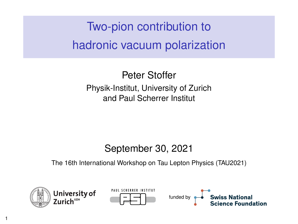Two-pion contribution to hadronic vacuum polarization

Peter Stoffer Physik-Institut, University of Zurich and Paul Scherrer Institut

#### September 30, 2021

The 16th International Workshop on Tau Lepton Physics (TAU2021)



1



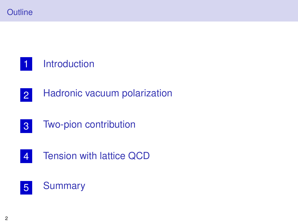

#### [Introduction](#page-2-0)

- [Hadronic vacuum polarization](#page-6-0)
- [Two-pion contribution](#page-10-0)
- [Tension with lattice QCD](#page-16-0)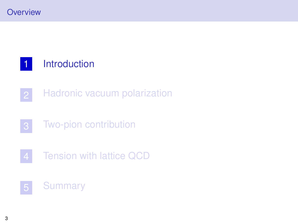# <span id="page-2-0"></span>[Introduction](#page-2-0)

- [Hadronic vacuum polarization](#page-6-0)
- [Two-pion contribution](#page-10-0)
- [Tension with lattice QCD](#page-16-0)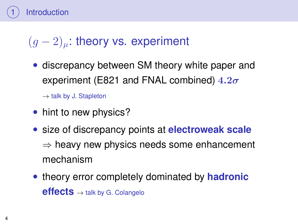

#### $(q-2)_u$ : theory vs. experiment

• discrepancy between SM theory white paper and experiment (E821 and FNAL combined)  $4.2\sigma$ 

 $\rightarrow$  talk by J. Stapleton

- hint to new physics?
- size of discrepancy points at **electroweak scale**  $\Rightarrow$  heavy new physics needs some enhancement mechanism
- theory error completely dominated by **hadronic effects** <sup>→</sup> talk by G. Colangelo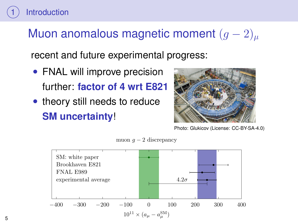# Muon anomalous magnetic moment  $(g-2)_u$

recent and future experimental progress:

• FNAL will improve precision further: **factor of 4 wrt E821**

**[Introduction](#page-2-0)** 

• theory still needs to reduce **SM uncertainty**!



Photo: Glukicov (License: CC-BY-SA-4.0)



muon  $q-2$  discrepancy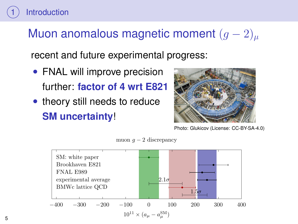# Muon anomalous magnetic moment  $(g-2)_u$

recent and future experimental progress:

• FNAL will improve precision further: **factor of 4 wrt E821**

**[Introduction](#page-2-0)** 

• theory still needs to reduce **SM uncertainty**!



Photo: Glukicov (License: CC-BY-SA-4.0)



muon  $q-2$  discrepancy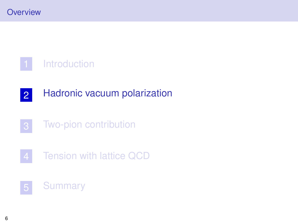<span id="page-6-0"></span>

- [Hadronic vacuum polarization](#page-6-0)
- [Two-pion contribution](#page-10-0)
- [Tension with lattice QCD](#page-16-0)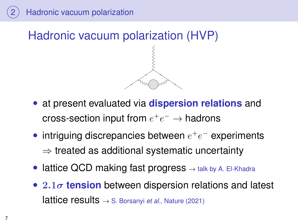

- at present evaluated via **dispersion relations** and cross-section input from  $e^+e^-\to$  hadrons
- intriguing discrepancies between  $e^+e^-$  experiments  $\Rightarrow$  treated as additional systematic uncertainty
- lattice QCD making fast progress  $\rightarrow$  talk by A. El-Khadra
- 2.1σ **tension** between dispersion relations and latest lattice results <sup>→</sup> S. Borsanyi *et al.*, Nature (2021)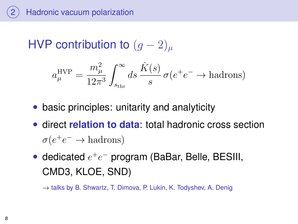[Hadronic vacuum polarization](#page-6-0)

HVP contribution to  $(g-2)_\mu$ 

$$
a_{\mu}^{\text{HVP}} = \frac{m_{\mu}^2}{12\pi^3} \int_{s_{\text{thr}}}^{\infty} ds \, \frac{\hat{K}(s)}{s} \, \sigma(e^+e^- \to \text{hadrons})
$$

- basic principles: unitarity and analyticity
- direct **relation to data**: total hadronic cross section  $\sigma(e^+e^- \to \text{hadrons})$
- dedicated  $e^+e^-$  program (BaBar, Belle, BESIII, CMD3, KLOE, SND)

 $\rightarrow$  talks by B. Shwartz, T. Dimova, P. Lukin, K. Todyshev, A. Denig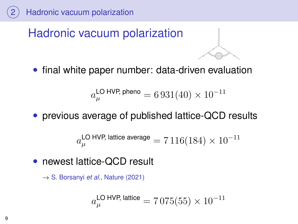

# Hadronic vacuum polarization



• final white paper number: data-driven evaluation

$$
a_\mu^{\rm LO\ HVP,\,pheno}=6\,931(40)\times 10^{-11}
$$

• previous average of published lattice-QCD results

$$
a_\mu^{\textsf{LO HVP, lattice average}} = 7\,116(184)\times 10^{-11}
$$

• newest lattice-QCD result

→ S. Borsanyi *et al.*, Nature (2021)

$$
a_\mu^{\textsf{LO HVP, lattice}} = 7\,075(55)\times10^{-11}
$$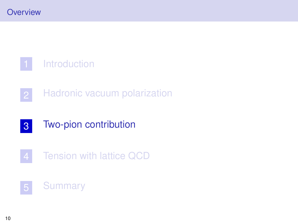<span id="page-10-0"></span>[Introduction](#page-2-0)

- [Hadronic vacuum polarization](#page-6-0)
- [Two-pion contribution](#page-10-0)
- [Tension with lattice QCD](#page-16-0)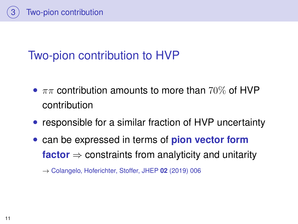

# Two-pion contribution to HVP

- $\pi\pi$  contribution amounts to more than 70% of HVP contribution
- responsible for a similar fraction of HVP uncertainty
- can be expressed in terms of **pion vector form factor**  $\Rightarrow$  constraints from analyticity and unitarity

→ Colangelo, Hoferichter, Stoffer, JHEP **02** (2019) 006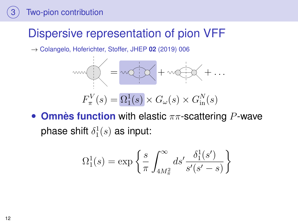# Dispersive representation of pion VFF

→ Colangelo, Hoferichter, Stoffer, JHEP **02** (2019) 006



**Omnès function** with elastic  $\pi\pi$ -scattering P-wave phase shift  $\delta_1^1(s)$  as input:

$$
\Omega^1_1(s) = \exp\left\{\frac{s}{\pi} \int_{4M^2_{\pi}}^{\infty} ds' \frac{\delta^1_1(s')}{s'(s'-s)}\right\}
$$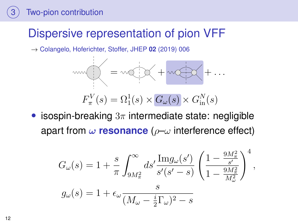# Dispersive representation of pion VFF

→ Colangelo, Hoferichter, Stoffer, JHEP **02** (2019) 006



• isospin-breaking  $3\pi$  intermediate state: negligible apart from  $\omega$  **resonance** ( $\rho$ - $\omega$  interference effect)

$$
G_{\omega}(s) = 1 + \frac{s}{\pi} \int_{9M_{\pi}^{2}}^{\infty} ds' \frac{\text{Im}g_{\omega}(s')}{s'(s'-s)} \left(\frac{1 - \frac{9M_{\pi}^{2}}{s'}}{1 - \frac{9M_{\pi}^{2}}{M_{\omega}^{2}}}\right)^{4},
$$
  

$$
g_{\omega}(s) = 1 + \epsilon_{\omega} \frac{s}{(M_{\omega} - \frac{i}{2}\Gamma_{\omega})^{2} - s}
$$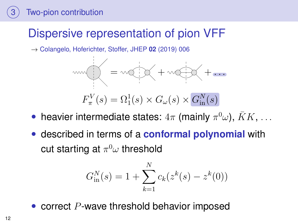# Dispersive representation of pion VFF

→ Colangelo, Hoferichter, Stoffer, JHEP **02** (2019) 006



- heavier intermediate states:  $4\pi$  (mainly  $\pi^0\omega$ ),  $\bar{K}K$ , ...
- described in terms of a **conformal polynomial** with cut starting at  $\pi^0\omega$  threshold

$$
G_{\text{in}}^{N}(s) = 1 + \sum_{k=1}^{N} c_k (z^k(s) - z^k(0))
$$

correct  $P$ -wave threshold behavior imposed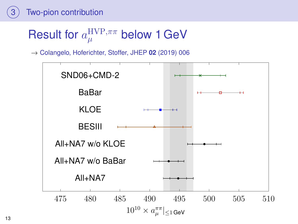# Result for  $a_{\mu}^{\rm HVP,\pi\pi}$  below 1 GeV

→ Colangelo, Hoferichter, Stoffer, JHEP **02** (2019) 006

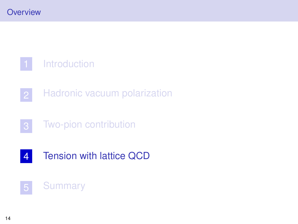<span id="page-16-0"></span>[Introduction](#page-2-0)

- [Hadronic vacuum polarization](#page-6-0)
- [Two-pion contribution](#page-10-0)
- [Tension with lattice QCD](#page-16-0)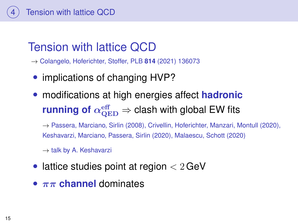

→ Colangelo, Hoferichter, Stoffer, PLB **814** (2021) 136073

- implications of changing HVP?
- modifications at high energies affect **hadronic**  $\mathsf{running}$  of  $\alpha_{\mathrm{QED}}^{\mathrm{eff}} \Rightarrow$  clash with global EW fits

 $\rightarrow$  Passera, Marciano, Sirlin (2008), Crivellin, Hoferichter, Manzari, Montull (2020), Keshavarzi, Marciano, Passera, Sirlin (2020), Malaescu, Schott (2020)

 $\rightarrow$  talk by A. Keshavarzi

- lattice studies point at region  $< 2 \,\text{GeV}$
- $\bullet$   $\pi\pi$  **channel** dominates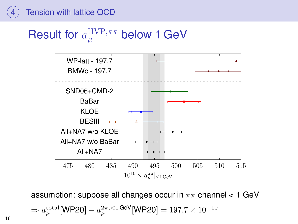# Result for  $a_{\mu}^{\rm HVP,\pi\pi}$  below 1 GeV



assumption: suppose all changes occur in  $\pi\pi$  channel < 1 GeV  $\Rightarrow a_\mu^{\rm total}[\textsf{WP20}] - a_\mu^{2\pi, < 1\,\textsf{GeV}}[\textsf{WP20}] = 197.7 \times 10^{-10}$ 

16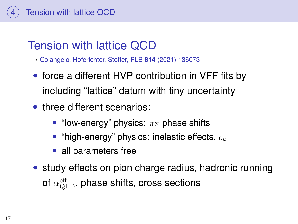

→ Colangelo, Hoferichter, Stoffer, PLB **814** (2021) 136073

- force a different HVP contribution in VFF fits by including "lattice" datum with tiny uncertainty
- three different scenarios:
	- "low-energy" physics:  $\pi\pi$  phase shifts
	- "high-energy" physics: inelastic effects,  $c_k$
	- all parameters free
- study effects on pion charge radius, hadronic running of  $\alpha_{\rm QED}^{\rm eff}$ , phase shifts, cross sections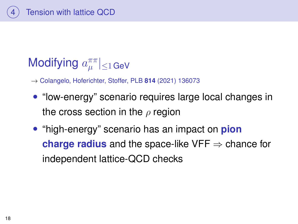

#### Modifying  $a_{\mu}^{\pi\pi}$  $|\mu^{\prime\prime}| \leq 1$  GeV

- → Colangelo, Hoferichter, Stoffer, PLB **814** (2021) 136073
- "low-energy" scenario requires large local changes in the cross section in the  $\rho$  region
- "high-energy" scenario has an impact on **pion charge radius** and the space-like VFF  $\Rightarrow$  chance for independent lattice-QCD checks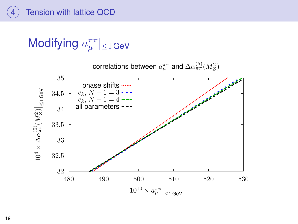

#### Modifying  $a^{\pi\pi}_{\mu}$  $|\mu^+| \leq 1$  GeV

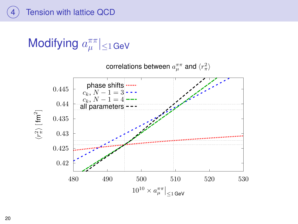

#### Modifying  $a^{\pi\pi}_{\mu}$  $|\mu^+| \leq 1$  GeV



correlations between  $a_\mu^{\pi\pi}$  and  $\langle r_\pi^2\rangle$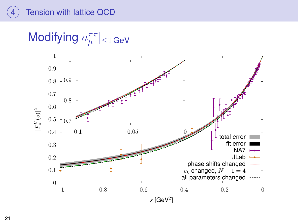Modifying  $a_{\mu}^{\pi\pi}$  $|\mu^{\prime\prime}| \leq 1$  GeV

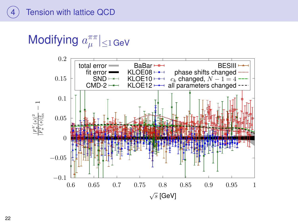Modifying  $a_{\mu}^{\pi\pi}$  $|\mu^{\prime\prime}| \leq 1$  GeV

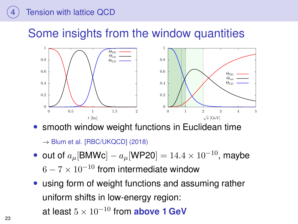### Some insights from the window quantities



smooth window weight functions in Euclidean time

 $\rightarrow$  Blum et al. [RBC/UKQCD] (2018)

- out of  $a_{\mu}$ [BMWc]  $a_{\mu}$ [WP20] = 14.4 × 10<sup>-10</sup>, maybe  $6 - 7 \times 10^{-10}$  from intermediate window
- using form of weight functions and assuming rather uniform shifts in low-energy region: at least  $5 \times 10^{-10}$  from **above 1 GeV**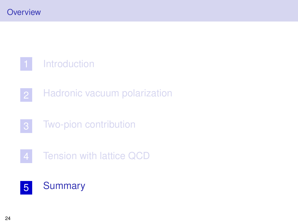<span id="page-26-0"></span>[Introduction](#page-2-0)

- [Hadronic vacuum polarization](#page-6-0)
- [Two-pion contribution](#page-10-0)
- [Tension with lattice QCD](#page-16-0)